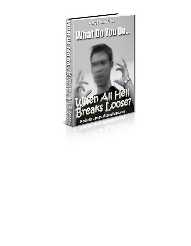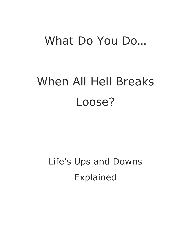# What Do You Do…

# When All Hell Breaks Loose?

Life's Ups and Downs Explained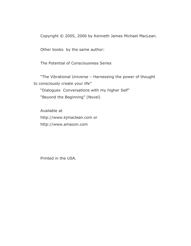Copyright © 2005, 2006 by Kenneth James Michael MacLean.

Other books by the same author:

The Potential of Consciousness Series

"The Vibrational Universe – Harnessing the power of thought to consciously create your life"

"Dialogues Conversations with my higher Self" "Beyond the Beginning" (Novel)

Available at http://www.kjmaclean.com or http://www.amazon.com

Printed in the USA.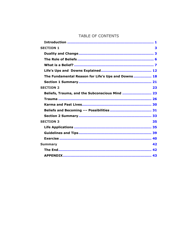#### TABLE OF CONTENTS

| <b>SECTION 1</b>                                   | 3  |
|----------------------------------------------------|----|
|                                                    |    |
|                                                    |    |
|                                                    |    |
|                                                    |    |
| The Fundamental Reason for Life's Ups and Downs 18 |    |
|                                                    |    |
| <b>SECTION 2</b>                                   | 23 |
| Beliefs, Trauma, and the Subconscious Mind  23     |    |
|                                                    |    |
|                                                    |    |
|                                                    |    |
|                                                    |    |
| <b>SECTION 3</b>                                   | 35 |
|                                                    |    |
|                                                    |    |
|                                                    |    |
| <b>Summary</b>                                     | 42 |
|                                                    |    |
|                                                    |    |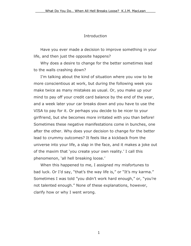#### Introduction

<span id="page-4-0"></span>Have you ever made a decision to improve something in your life, and then just the opposite happens?

Why does a desire to change for the better sometimes lead to the walls crashing down?

I'm talking about the kind of situation where you vow to be more conscientious at work, but during the following week you make twice as many mistakes as usual. Or, you make up your mind to pay off your credit card balance by the end of the year, and a week later your car breaks down and you have to use the VISA to pay for it. Or perhaps you decide to be nicer to your girlfriend, but she becomes more irritated with you than before! Sometimes these negative manifestations come in bunches, one after the other. Why does your decision to change for the better lead to crummy outcomes? It feels like a kickback from the universe into your life, a slap in the face, and it makes a joke out of the maxim that 'you create your own reality.' I call this phenomenon, 'all hell breaking loose.'

When this happened to me, I assigned my misfortunes to bad luck. Or I'd say, "that's the way life is," or "It's my karma." Sometimes I was told "you didn't work hard enough," or, "you're not talented enough." None of these explanations, however, clarify how or why I went wrong.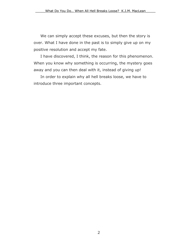We can simply accept these excuses, but then the story is over. What I have done in the past is to simply give up on my positive resolution and accept my fate.

I have discovered, I think, the reason for this phenomenon. When you know why something is occurring, the mystery goes away and you can then deal with it, instead of giving up!

In order to explain why all hell breaks loose, we have to introduce three important concepts.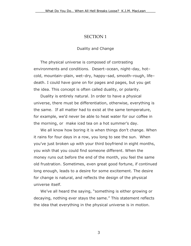### SECTION 1

#### Duality and Change

<span id="page-6-0"></span>The physical universe is composed of contrasting environments and conditions. Desert–ocean, night–day, hot– cold, mountain–plain, wet–dry, happy–sad, smooth–rough, life– death. I could have gone on for pages and pages, but you get the idea. This concept is often called duality, or polarity.

Duality is entirely natural. In order to have a physical universe, there must be differentiation, otherwise, everything is the same. If all matter had to exist at the same temperature, for example, we'd never be able to heat water for our coffee in the morning, or make iced tea on a hot summer's day.

We all know how boring it is when things don't change. When it rains for four days in a row, you long to see the sun. When you've just broken up with your third boyfriend in eight months, you wish that you could find someone different. When the money runs out before the end of the month, you feel the same old frustration. Sometimes, even great good fortune, if continued long enough, leads to a desire for some excitement. The desire for change is natural, and reflects the design of the physical universe itself.

We've all heard the saying, "something is either growing or decaying, nothing ever stays the same." This statement reflects the idea that everything in the physical universe is in motion.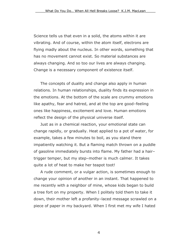Science tells us that even in a solid, the atoms within it are vibrating. And of course, within the atom itself, electrons are flying madly about the nucleus. In other words, something that has no movement cannot exist. So material substances are always changing. And so too our lives are always changing. Change is a necessary component of existence itself.

The concepts of duality and change also apply in human relations. In human relationships, duality finds its expression in the emotions. At the bottom of the scale are crummy emotions like apathy, fear and hatred, and at the top are good–feeling ones like happiness, excitement and love. Human emotions reflect the design of the physical universe itself.

Just as in a chemical reaction, your emotional state can change rapidly, or gradually. Heat applied to a pot of water, for example, takes a few minutes to boil, as you stand there impatiently watching it. But a flaming match thrown on a puddle of gasoline immediately bursts into flame. My father had a hair– trigger temper, but my step–mother is much calmer. It takes quite a lot of heat to make her teapot toot!

A rude comment, or a vulgar action, is sometimes enough to change your opinion of another in an instant. That happened to me recently with a neighbor of mine, whose kids began to build a tree fort on my property. When I politely told them to take it down, their mother left a profanity–laced message scrawled on a piece of paper in my backyard. When I first met my wife I hated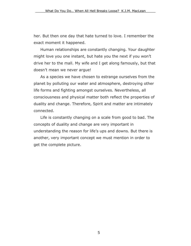her. But then one day that hate turned to love. I remember the exact moment it happened.

Human relationships are constantly changing. Your daughter might love you one instant, but hate you the next if you won't drive her to the mall. My wife and I get along famously, but that doesn't mean we never argue!

As a species we have chosen to estrange ourselves from the planet by polluting our water and atmosphere, destroying other life forms and fighting amongst ourselves. Nevertheless, all consciousness and physical matter both reflect the properties of duality and change. Therefore, Spirit and matter are intimately connected.

Life is constantly changing on a scale from good to bad. The concepts of duality and change are very important in understanding the reason for life's ups and downs. But there is another, very important concept we must mention in order to get the complete picture.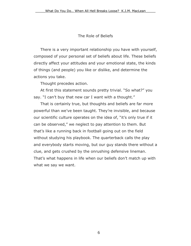#### The Role of Beliefs

<span id="page-9-0"></span>There is a very important relationship you have with yourself, composed of your personal set of beliefs about life. These beliefs directly affect your attitudes and your emotional state, the kinds of things (and people) you like or dislike, and determine the actions you take.

Thought precedes action.

At first this statement sounds pretty trivial. "So what?" you say. "I can't buy that new car I want with a thought."

That is certainly true, but thoughts and beliefs are far more powerful than we've been taught. They're invisible, and because our scientific culture operates on the idea of, "it's only true if it can be observed," we neglect to pay attention to them. But that's like a running back in football going out on the field without studying his playbook. The quarterback calls the play and everybody starts moving, but our guy stands there without a clue, and gets crushed by the onrushing defensive lineman. That's what happens in life when our beliefs don't match up with what we say we want.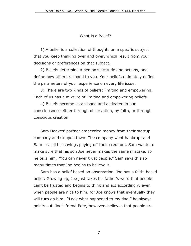#### What is a Belief?

<span id="page-10-0"></span>1) A belief is a collection of thoughts on a specific subject that you keep thinking over and over, which result from your decisions or preferences on that subject.

2) Beliefs determine a person's attitude and actions, and define how others respond to you. Your beliefs ultimately define the parameters of your experience on every life issue.

3) There are two kinds of beliefs: limiting and empowering. Each of us has a mixture of limiting and empowering beliefs.

4) Beliefs become established and activated in our consciousness either through observation, by faith, or through conscious creation.

Sam Doakes' partner embezzled money from their startup company and skipped town. The company went bankrupt and Sam lost all his savings paying off their creditors. Sam wants to make sure that his son Joe never makes the same mistake, so he tells him, "You can never trust people." Sam says this so many times that Joe begins to believe it.

Sam has a belief based on observation. Joe has a faith–based belief. Growing up, Joe just takes his father's word that people can't be trusted and begins to think and act accordingly, even when people are nice to him, for Joe knows that eventually they will turn on him. "Look what happened to my dad," he always points out. Joe's friend Pete, however, believes that people are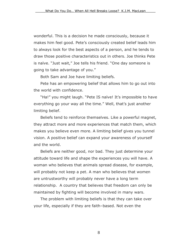wonderful. This is a decision he made consciously, because it makes him feel good. Pete's consciously created belief leads him to always look for the best aspects of a person, and he tends to draw those positive characteristics out in others. Joe thinks Pete is naïve. "Just wait," Joe tells his friend. "One day someone is going to take advantage of you."

Both Sam and Joe have limiting beliefs.

Pete has an empowering belief that allows him to go out into the world with confidence.

"Ha!" you might laugh. "Pete IS naïve! It's impossible to have everything go your way all the time." Well, that's just another limiting belief.

Beliefs tend to reinforce themselves. Like a powerful magnet, they attract more and more experiences that match them, which makes you believe even more. A limiting belief gives you tunnel vision. A positive belief can expand your awareness of yourself and the world.

Beliefs are neither good, nor bad. They just determine your attitude toward life and shape the experiences you will have. A woman who believes that animals spread disease, for example, will probably not keep a pet. A man who believes that women are untrustworthy will probably never have a long term relationship. A country that believes that freedom can only be maintained by fighting will become involved in many wars.

The problem with limiting beliefs is that they can take over your life, especially if they are faith–based. Not even the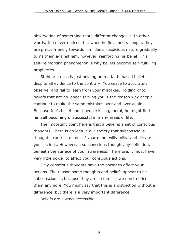observation of something that's different changes it. In other words, Joe never notices that when he first meets people, they are pretty friendly towards him. Joe's suspicious nature gradually turns them against him, however, reinforcing his belief. This self–reinforcing phenomenon is why beliefs become self–fulfilling prophecies.

Stubborn–ness is just holding onto a faith–based belief despite all evidence to the contrary. You cease to accurately observe, and fail to learn from your mistakes. Holding onto beliefs that are no longer serving you is the reason why people continue to make the same mistakes over and over again. Because Joe's belief about people is so general, he might find himself becoming unsuccessful in many areas of life.

The important point here is that a belief is a set of conscious thoughts. There is an idea in our society that subconscious thoughts can rise up out of your mind, willy–nilly, and dictate your actions. However, a subconscious thought, by definition, is beneath the surface of your awareness. Therefore, it must have very little power to affect your conscious actions.

Only conscious thoughts have the power to affect your actions. The reason some thoughts and beliefs appear to be subconscious is because they are so familiar we don't notice them anymore. You might say that this is a distinction without a difference, but there is a very important difference.

Beliefs are always accessible.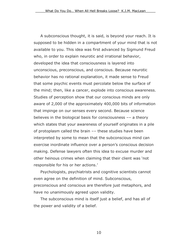A subconscious thought, it is said, is beyond your reach. It is supposed to be hidden in a compartment of your mind that is not available to you. This idea was first advanced by Sigmund Freud who, in order to explain neurotic and irrational behavior, developed the idea that consciousness is layered into unconscious, preconscious, and conscious. Because neurotic behavior has no rational explanation, it made sense to Freud that some psychic events must percolate below the surface of the mind; then, like a cancer, explode into conscious awareness. Studies of perception show that our conscious minds are only aware of 2,000 of the approximately 400,000 bits of information that impinge on our senses every second. Because science believes in the biological basis for consciousness –– a theory which states that your awareness of yourself originates in a pile of protoplasm called the brain –– these studies have been interpreted by some to mean that the subconscious mind can exercise inordinate influence over a person's conscious decision making. Defense lawyers often this idea to excuse murder and other heinous crimes when claiming that their client was 'not responsible for his or her actions.'

Psychologists, psychiatrists and cognitive scientists cannot even agree on the definition of mind. Subconscious, preconscious and conscious are therefore just metaphors, and have no unanimously agreed upon validity.

The subconscious mind is itself just a belief, and has all of the power and validity of a belief.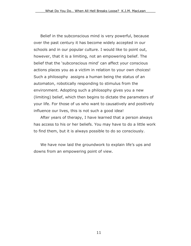Belief in the subconscious mind is very powerful, because over the past century it has become widely accepted in our schools and in our popular culture. I would like to point out, however, that it is a limiting, not an empowering belief. The belief that the 'subconscious mind' can affect your conscious actions places you as a victim in relation to your own choices! Such a philosophy assigns a human being the status of an automaton, robotically responding to stimulus from the environment. Adopting such a philosophy gives you a new (limiting) belief, which then begins to dictate the parameters of your life. For those of us who want to causatively and positively influence our lives, this is not such a good idea!

After years of therapy, I have learned that a person always has access to his or her beliefs. You may have to do a little work to find them, but it is always possible to do so consciously.

We have now laid the groundwork to explain life's ups and downs from an empowering point of view.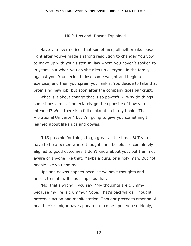Life's Ups and Downs Explained

<span id="page-15-0"></span>Have you ever noticed that sometimes, all hell breaks loose right after you've made a strong resolution to change? You vow to make up with your sister–in–law whom you haven't spoken to in years, but when you do she riles up everyone in the family against you. You decide to lose some weight and begin to exercise, and then you sprain your ankle. You decide to take that promising new job, but soon after the company goes bankrupt.

What is it about change that is so powerful? Why do things sometimes almost immediately go the opposite of how you intended? Well, there is a full explanation in my book, "The Vibrational Universe," but I'm going to give you something I learned about life's ups and downs.

It IS possible for things to go great all the time. BUT you have to be a person whose thoughts and beliefs are completely aligned to good outcomes. I don't know about you, but I am not aware of anyone like that. Maybe a guru, or a holy man. But not people like you and me.

Ups and downs happen because we have thoughts and beliefs to match. It's as simple as that.

"No, that's wrong," you say. "My thoughts are crummy because my life is crummy." Nope. That's backwards. Thought precedes action and manifestation. Thought precedes emotion. A health crisis might have appeared to come upon you suddenly,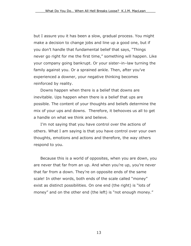but I assure you it has been a slow, gradual process. You might make a decision to change jobs and line up a good one, but if you don't handle that fundamental belief that says, "Things never go right for me the first time," something will happen. Like your company going bankrupt. Or your sister–in–law turning the family against you. Or a sprained ankle. Then, after you've experienced a downer, your negative thinking becomes reinforced by reality.

Downs happen when there is a belief that downs are inevitable. Ups happen when there is a belief that ups are possible. The content of your thoughts and beliefs determine the mix of your ups and downs. Therefore, it behooves us all to get a handle on what we think and believe.

I'm not saying that you have control over the actions of others. What I am saying is that you have control over your own thoughts, emotions and actions and therefore, the way others respond to you.

Because this is a world of opposites, when you are down, you are never that far from an up. And when you're up, you're never that far from a down. They're on opposite ends of the same scale! In other words, both ends of the scale called "money" exist as distinct possibilities. On one end (the right) is "lots of money" and on the other end (the left) is "not enough money."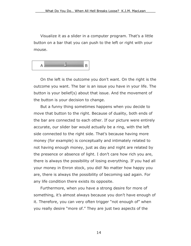Visualize it as a slider in a computer program. That's a little button on a bar that you can push to the left or right with your mouse.

 $A \longrightarrow B$ 

On the left is the outcome you don't want. On the right is the outcome you want. The bar is an issue you have in your life. The button is your belief(s) about that issue. And the movement of the button is your decision to change.

But a funny thing sometimes happens when you decide to move that button to the right. Because of duality, both ends of the bar are connected to each other. If our picture were entirely accurate, our slider bar would actually be a ring, with the left side connected to the right side. That's because having more money (for example) is conceptually and intimately related to not having enough money, just as day and night are related by the presence or absence of light. I don't care how rich you are, there is always the possibility of losing everything. If you had all your money in Enron stock, you did! No matter how happy you are, there is always the possibility of becoming sad again. For any life condition there exists its opposite.

Furthermore, when you have a strong desire for more of something, it's almost always because you don't have enough of it. Therefore, you can very often trigger "not enough of" when you really desire "more of." They are just two aspects of the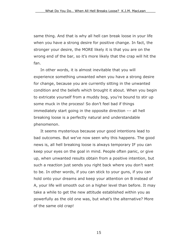same thing. And that is why all hell can break loose in your life when you have a strong desire for positive change. In fact, the stronger your desire, the MORE likely it is that you are on the wrong end of the bar, so it's more likely that the crap will hit the fan.

In other words, it is almost inevitable that you will experience something unwanted when you have a strong desire for change, because you are currently sitting in the unwanted condition and the beliefs which brought it about. When you begin to extricate yourself from a muddy bog, you're bound to stir up some muck in the process! So don't feel bad if things immediately start going in the opposite direction –– all hell breaking loose is a perfectly natural and understandable phenomenon.

It seems mysterious because your good intentions lead to bad outcomes. But we've now seen why this happens. The good news is, all hell breaking loose is always temporary IF you can keep your eyes on the goal in mind. People often panic, or give up, when unwanted results obtain from a positive intention, but such a reaction just sends you right back where you don't want to be. In other words, if you can stick to your guns, if you can hold onto your dreams and keep your attention on B instead of A, your life will smooth out on a higher level than before. It may take a while to get the new attitude established within you as powerfully as the old one was, but what's the alternative? More of the same old crap!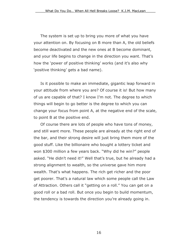The system is set up to bring you more of what you have your attention on. By focusing on B more than A, the old beliefs become deactivated and the new ones at B become dominant, and your life begins to change in the direction you want. That's how the 'power of positive thinking' works (and it's also why 'positive thinking' gets a bad name).

Is it possible to make an immediate, gigantic leap forward in your attitude from where you are? Of course it is! But how many of us are capable of that? I know I'm not. The degree to which things will begin to go better is the degree to which you can change your focus from point A, at the negative end of the scale, to point B at the positive end.

Of course there are lots of people who have tons of money, and still want more. These people are already at the right end of the bar, and their strong desire will just bring them more of the good stuff. Like the billionaire who bought a lottery ticket and won \$300 million a few years back. "Why did he win?" people asked. "He didn't need it!" Well that's true, but he already had a strong alignment to wealth, so the universe gave him more wealth. That's what happens. The rich get richer and the poor get poorer. That's a natural law which some people call the Law of Attraction. Others call it "getting on a roll." You can get on a good roll or a bad roll. But once you begin to build momentum, the tendency is towards the direction you're already going in.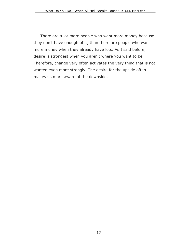There are a lot more people who want more money because they don't have enough of it, than there are people who want more money when they already have lots. As I said before, desire is strongest when you aren't where you want to be. Therefore, change very often activates the very thing that is not wanted even more strongly. The desire for the upside often makes us more aware of the downside.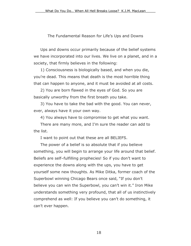#### The Fundamental Reason for Life's Ups and Downs

<span id="page-21-0"></span>Ups and downs occur primarily because of the belief systems we have incorporated into our lives. We live on a planet, and in a society, that firmly believes in the following:

1) Consciousness is biologically based, and when you die, you're dead. This means that death is the most horrible thing that can happen to anyone, and it must be avoided at all costs.

2) You are born flawed in the eyes of God. So you are basically unworthy from the first breath you take.

3) You have to take the bad with the good. You can never, ever, always have it your own way.

4) You always have to compromise to get what you want.

There are many more, and I'm sure the reader can add to the list.

I want to point out that these are all BELIEFS.

The power of a belief is so absolute that if you believe something, you will begin to arrange your life around that belief. Beliefs are self–fulfilling prophecies! So if you don't want to experience the downs along with the ups, you have to get yourself some new thoughts. As Mike Ditka, former coach of the Superbowl winning Chicago Bears once said, "If you don't believe you can win the Superbowl, you can't win it." Iron Mike understands something very profound, that all of us instinctively comprehend as well: If you believe you can't do something, it can't ever happen.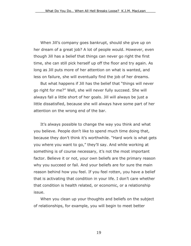When Jill's company goes bankrupt, should she give up on her dream of a great job? A lot of people would. However, even though Jill has a belief that things can never go right the first time, she can still pick herself up off the floor and try again. As long as Jill puts more of her attention on what is wanted, and less on failure, she will eventually find the job of her dreams.

But what happens if Jill has the belief that "things will never go right for me?" Well, she will never fully succeed. She will always fall a little short of her goals. Jill will always be just a little dissatisfied, because she will always have some part of her attention on the wrong end of the bar.

It's always possible to change the way you think and what you believe. People don't like to spend much time doing that, because they don't think it's worthwhile. "Hard work is what gets you where you want to go," they'll say. And while working at something is of course necessary, it's not the most important factor. Believe it or not, your own beliefs are the primary reason why you succeed or fail. And your beliefs are for sure the main reason behind how you feel. If you feel rotten, you have a belief that is activating that condition in your life. I don't care whether that condition is health related, or economic, or a relationship issue.

When you clean up your thoughts and beliefs on the subject of relationships, for example, you will begin to meet better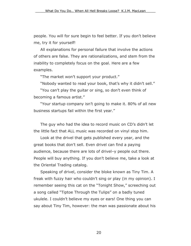people. You will for sure begin to feel better. If you don't believe me, try it for yourself!

All explanations for personal failure that involve the actions of others are false. They are rationalizations, and stem from the inability to completely focus on the goal. Here are a few examples.

"The market won't support your product."

"Nobody wanted to read your book, that's why it didn't sell."

"You can't play the guitar or sing, so don't even think of becoming a famous artist."

"Your startup company isn't going to make it. 80% of all new business startups fail within the first year."

The guy who had the idea to record music on CD's didn't let the little fact that ALL music was recorded on vinyl stop him.

Look at the drivel that gets published every year, and the great books that don't sell. Even drivel can find a paying audience, because there are lots of drivel–y people out there. People will buy anything. If you don't believe me, take a look at the Oriental Trading catalog.

Speaking of drivel, consider the bloke known as Tiny Tim. A freak with fuzzy hair who couldn't sing or play (in my opinion). I remember seeing this cat on the "Tonight Show," screeching out a song called "Tiptoe Through the Tulips" on a badly tuned ukulele. I couldn't believe my eyes or ears! One thing you can say about Tiny Tim, however: the man was passionate about his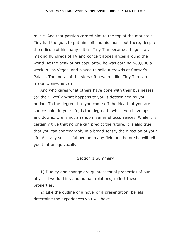<span id="page-24-0"></span>music. And that passion carried him to the top of the mountain. Tiny had the guts to put himself and his music out there, despite the ridicule of his many critics. Tiny Tim became a huge star, making hundreds of TV and concert appearances around the world. At the peak of his popularity, he was earning \$60,000 a week in Las Vegas, and played to sellout crowds at Caesar's Palace. The moral of the story: If a weirdo like Tiny Tim can make it, anyone can!

And who cares what others have done with their businesses (or their lives)? What happens to you is determined by you, period. To the degree that you come off the idea that you are source point in your life, is the degree to which you have ups and downs. Life is not a random series of occurrences. While it is certainly true that no one can predict the future, it is also true that you can choreograph, in a broad sense, the direction of your life. Ask any successful person in any field and he or she will tell you that unequivocally.

#### Section 1 Summary

1) Duality and change are quintessential properties of our physical world. Life, and human relations, reflect these properties.

2) Like the outline of a novel or a presentation, beliefs determine the experiences you will have.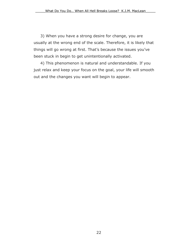3) When you have a strong desire for change, you are usually at the wrong end of the scale. Therefore, it is likely that things will go wrong at first. That's because the issues you've been stuck in begin to get unintentionally activated.

4) This phenomenon is natural and understandable. If you just relax and keep your focus on the goal, your life will smooth out and the changes you want will begin to appear.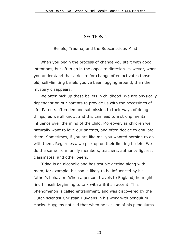#### SECTION 2

Beliefs, Trauma, and the Subconscious Mind

<span id="page-26-0"></span>When you begin the process of change you start with good intentions, but often go in the opposite direction. However, when you understand that a desire for change often activates those old, self–limiting beliefs you've been lugging around, then the mystery disappears.

We often pick up these beliefs in childhood. We are physically dependent on our parents to provide us with the necessities of life. Parents often demand submission to their ways of doing things, as we all know, and this can lead to a strong mental influence over the mind of the child. Moreover, as children we naturally want to love our parents, and often decide to emulate them. Sometimes, if you are like me, you wanted nothing to do with them. Regardless, we pick up on their limiting beliefs. We do the same from family members, teachers, authority figures, classmates, and other peers.

If dad is an alcoholic and has trouble getting along with mom, for example, his son is likely to be influenced by his father's behavior. When a person travels to England, he might find himself beginning to talk with a British accent. This phenomenon is called entrainment, and was discovered by the Dutch scientist Christian Huygens in his work with pendulum clocks. Huygens noticed that when he set one of his pendulums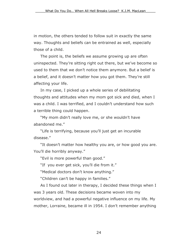in motion, the others tended to follow suit in exactly the same way. Thoughts and beliefs can be entrained as well, especially those of a child.

The point is, the beliefs we assume growing up are often uninspected. They're sitting right out there, but we've become so used to them that we don't notice them anymore. But a belief is a belief, and it doesn't matter how you got them. They're still affecting your life.

In my case, I picked up a whole series of debilitating thoughts and attitudes when my mom got sick and died, when I was a child. I was terrified, and I couldn't understand how such a terrible thing could happen.

"My mom didn't really love me, or she wouldn't have abandoned me."

"Life is terrifying, because you'll just get an incurable disease."

"It doesn't matter how healthy you are, or how good you are. You'll die horribly anyway."

"Evil is more powerful than good."

"If you ever get sick, you'll die from it."

"Medical doctors don't know anything."

"Children can't be happy in families."

As I found out later in therapy, I decided these things when I was 3 years old. These decisions became woven into my worldview, and had a powerful negative influence on my life. My mother, Lorraine, became ill in 1954. I don't remember anything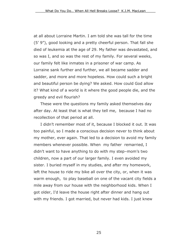at all about Lorraine Martin. I am told she was tall for the time (5' 9"), good looking and a pretty cheerful person. That fall she died of leukemia at the age of 29. My father was devastated, and so was I, and so was the rest of my family. For several weeks, our family felt like inmates in a prisoner of war camp. As Lorraine sank further and further, we all became sadder and sadder, and more and more hopeless. How could such a bright and beautiful person be dying? We asked. How could God allow it? What kind of a world is it where the good people die, and the greedy and evil flourish?

These were the questions my family asked themselves day after day. At least that is what they tell me, because I had no recollection of that period at all.

I didn't remember most of it, because I blocked it out. It was too painful, so I made a conscious decision never to think about my mother, ever again. That led to a decision to avoid my family members whenever possible. When my father remarried, I didn't want to have anything to do with my step–mom's two children, now a part of our larger family. I even avoided my sister. I buried myself in my studies, and after my homework, left the house to ride my bike all over the city, or, when it was warm enough, to play baseball on one of the vacant city fields a mile away from our house with the neighborhood kids. When I got older, I'd leave the house right after dinner and hang out with my friends. I got married, but never had kids. I just knew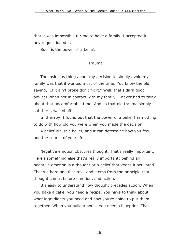<span id="page-29-0"></span>that it was impossible for me to have a family. I accepted it, never questioned it.

Such is the power of a belief.

#### Trauma

The insidious thing about my decision to simply avoid my family was that it worked most of the time. You know the old saying, "If it ain't broke don't fix it." Well, that's darn good advice! When not in contact with my family, I never had to think about that uncomfortable time. And so that old trauma simply sat there, walled off.

In therapy, I found out that the power of a belief has nothing to do with how old you were when you made the decision.

A belief is just a belief, and it can determine how you feel, and the course of your life.

Negative emotion obscures thought. That's really important. Here's something else that's really important: behind all negative emotion is a thought or a belief that keeps it activated. That's a hard and fast rule, and stems from the principle that thought comes before emotion, and action.

It's easy to understand how thought precedes action. When you bake a cake, you need a recipe. You have to think about what ingredients you need and how you're going to put them together. When you build a house you need a blueprint. That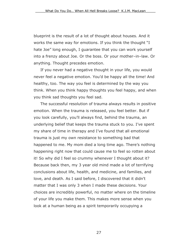blueprint is the result of a lot of thought about houses. And it works the same way for emotions. If you think the thought "I hate Joe" long enough, I guarantee that you can work yourself into a frenzy about Joe. Or the boss. Or your mother–in–law. Or anything. Thought precedes emotion.

If you never had a negative thought in your life, you would never feel a negative emotion. You'd be happy all the time! And healthy, too. The way you feel is determined by the way you think. When you think happy thoughts you feel happy, and when you think sad thoughts you feel sad.

The successful resolution of trauma always results in positive emotion. When the trauma is released, you feel better. But if you look carefully, you'll always find, behind the trauma, an underlying belief that keeps the trauma stuck to you. I've spent my share of time in therapy and I've found that all emotional trauma is just my own resistance to something bad that happened to me. My mom died a long time ago. There's nothing happening right now that could cause me to feel so rotten about it! So why did I feel so crummy whenever I thought about it? Because back then, my 3 year old mind made a lot of terrifying conclusions about life, health, and medicine, and families, and love, and death. As I said before, I discovered that it didn't matter that I was only 3 when I made these decisions. Your choices are incredibly powerful, no matter where on the timeline of your life you make them. This makes more sense when you look at a human being as a spirit temporarily occupying a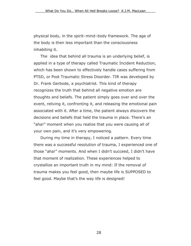physical body, in the spirit–mind–body framework. The age of the body is then less important than the consciousness inhabiting it.

The idea that behind all trauma is an underlying belief, is applied in a type of therapy called Traumatic Incident Reduction, which has been shown to effectively handle cases suffering from PTSD, or Post Traumatic Stress Disorder. TIR was developed by Dr. Frank Gerbode, a psychiatrist. This kind of therapy recognizes the truth that behind all negative emotion are thoughts and beliefs. The patient simply goes over and over the event, reliving it, confronting it, and releasing the emotional pain associated with it. After a time, the patient always discovers the decisions and beliefs that held the trauma in place. There's an "aha!" moment when you realize that you were causing all of your own pain, and it's very empowering.

During my time in therapy, I noticed a pattern. Every time there was a successful resolution of trauma, I experienced one of those "aha!" moments. And when I didn't succeed, I didn't have that moment of realization. These experiences helped to crystallize an important truth in my mind: If the removal of trauma makes you feel good, then maybe life is SUPPOSED to feel good. Maybe that's the way life is designed!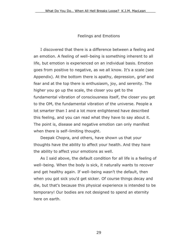#### Feelings and Emotions

I discovered that there is a difference between a feeling and an emotion. A feeling of well–being is something inherent to all life, but emotion is experienced on an individual basis. Emotion goes from positive to negative, as we all know. It's a scale (see Appendix). At the bottom there is apathy, depression, grief and fear and at the top there is enthusiasm, joy, and serenity. The higher you go up the scale, the closer you get to the fundamental vibration of consciousness itself, the closer you get to the OM, the fundamental vibration of the universe. People a lot smarter than I and a lot more enlightened have described this feeling, and you can read what they have to say about it. The point is, disease and negative emotion can only manifest when there is self–limiting thought.

Deepak Chopra, and others, have shown us that your thoughts have the ability to affect your health. And they have the ability to affect your emotions as well.

As I said above, the default condition for all life is a feeling of well–being. When the body is sick, it naturally wants to recover and get healthy again. If well–being wasn't the default, then when you got sick you'd get sicker. Of course things decay and die, but that's because this physical experience is intended to be temporary! Our bodies are not designed to spend an eternity here on earth.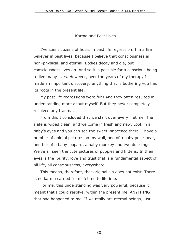#### Karma and Past Lives

<span id="page-33-0"></span>I've spent dozens of hours in past life regression. I'm a firm believer in past lives, because I believe that consciousness is non–physical, and eternal. Bodies decay and die, but consciousness lives on. And so it is possible for a conscious being to live many lives. However, over the years of my therapy I made an important discovery: anything that is bothering you has its roots in the present life.

My past life regressions were fun! And they often resulted in understanding more about myself. But they never completely resolved any trauma.

From this I concluded that we start over every lifetime. The slate is wiped clean, and we come in fresh and new. Look in a baby's eyes and you can see the sweet innocence there. I have a number of animal pictures on my wall, one of a baby polar bear, another of a baby leopard, a baby monkey and two ducklings. We've all seen the cute pictures of puppies and kittens. In their eyes is the purity, love and trust that is a fundamental aspect of all life, all consciousness, everywhere.

This means, therefore, that original sin does not exist. There is no karma carried from lifetime to lifetime.

For me, this understanding was very powerful, because it meant that I could resolve, within the present life, ANYTHING that had happened to me. If we really are eternal beings, just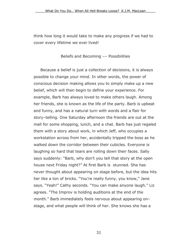<span id="page-34-0"></span>think how long it would take to make any progress if we had to cover every lifetime we ever lived!

Beliefs and Becoming –– Possibilities

Because a belief is just a collection of decisions, it is always possible to change your mind. In other words, the power of conscious decision making allows you to simply make up a new belief, which will then begin to define your experience. For example, Barb has always loved to make others laugh. Among her friends, she is known as the life of the party. Barb is upbeat and funny, and has a natural turn with words and a flair for story–telling. One Saturday afternoon the friends are out at the mall for some shopping, lunch, and a chat. Barb has just regaled them with a story about work, in which Jeff, who occupies a workstation across from her, accidentally tripped the boss as he walked down the corridor between their cubicles. Everyone is laughing so hard that tears are rolling down their faces. Sally says suddenly: "Barb, why don't you tell that story at the open house next Friday night?" At first Barb is stunned. She has never thought about appearing on stage before, but the idea hits her like a ton of bricks. "You're really funny, you know," Jane says. "Yeah!" Cathy seconds. "You can make anyone laugh." Liz agrees. "The Improv is holding auditions at the end of the month." Barb immediately feels nervous about appearing on– stage, and what people will think of her. She knows she has a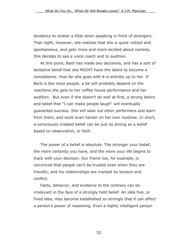tendency to stutter a little when speaking in front of strangers. That night, however, she realizes that she is quick–witted and spontaneous, and gets more and more excited about comedy. She decides to see a voice coach and to audition.

At this point, Barb has made two decisions, and has a sort of tentative belief that she MIGHT have the talent to become a comedienne. How far she goes with it is entirely up to her. If Barb is like most people, a lot will probably depend on the reactions she gets to her coffee house performance and her audition. But even if she doesn't do well at first, a strong desire and belief that "I can make people laugh" will eventually guarantee success. She will seek out other performers and learn from them, and work even harder on her own routines. In short, a consciously created belief can be just as strong as a belief based on observation, or faith.

The power of a belief is absolute. The stronger your belief, the more certainty you have, and the more your life begins to track with your decision. Our friend Joe, for example, is convinced that people can't be trusted even when they are friendly, and his relationships are marked by tension and conflict.

Facts, behavior, and evidence to the contrary can be irrelevant in the face of a strongly held belief. An idée fixe, or fixed idea, may become established so strongly that it can affect a person's power of reasoning. Even a highly intelligent person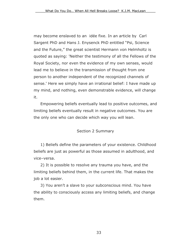<span id="page-36-0"></span>may become enslaved to an idée fixe. In an article by Carl Sargent PhD and Hans J. Enysenck PhD entitled "Psi, Science and the Future," the great scientist Hermann von Helmholtz is quoted as saying: 'Neither the testimony of all the Fellows of the Royal Society, nor even the evidence of my own senses, would lead me to believe in the transmission of thought from one person to another independent of the recognized channels of sense.' Here we simply have an irrational belief: I have made up my mind, and nothing, even demonstrable evidence, will change it.

Empowering beliefs eventually lead to positive outcomes, and limiting beliefs eventually result in negative outcomes. You are the only one who can decide which way you will lean.

#### Section 2 Summary

1) Beliefs define the parameters of your existence. Childhood beliefs are just as powerful as those assumed in adulthood, and vice–versa.

2) It is possible to resolve any trauma you have, and the limiting beliefs behind them, in the current life. That makes the job a lot easier.

3) You aren't a slave to your subconscious mind. You have the ability to consciously access any limiting beliefs, and change them.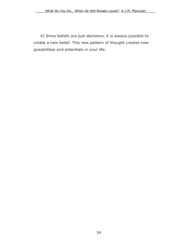4) Since beliefs are just decisions, it is always possible to create a new belief. This new pattern of thought creates new possibilities and potentials in your life.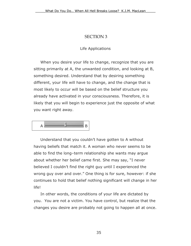# SECTION 3

#### Life Applications

<span id="page-38-0"></span>When you desire your life to change, recognize that you are sitting primarily at A, the unwanted condition, and looking at B, something desired. Understand that by desiring something different, your life will have to change, and the change that is most likely to occur will be based on the belief structure you already have activated in your consciousness. Therefore, it is likely that you will begin to experience just the opposite of what you want right away.



Understand that you couldn't have gotten to A without having beliefs that match it. A woman who never seems to be able to find the long–term relationship she wants may argue about whether her belief came first. She may say, "I never believed I couldn't find the right guy until I experienced the wrong guy over and over." One thing is for sure, however: if she continues to hold that belief nothing significant will change in her life!

In other words, the conditions of your life are dictated by you. You are not a victim. You have control, but realize that the changes you desire are probably not going to happen all at once.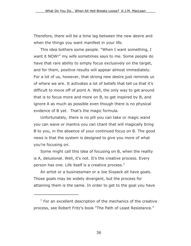Therefore, there will be a time lag between the new desire and when the things you want manifest in your life.

This idea bothers some people. "When I want something, I want it NOW!" my wife sometimes says to me. Some people do have that rare ability to simply focus exclusively on the target, and for them, positive results will appear almost immediately. For a lot of us, however, that strong new desire just reminds us of where we are. It activates a lot of beliefs that tell us that it's difficult to move off of point A. Well, the only way to get around that is to focus more and more on B, to get inspired by B, and ignore A as much as possible even though there is no physical evidence of B yet. That's the magic formula.

Unfortunately, there is no pill you can take or magic wand you can wave or mantra you can chant that will magically bring B to you, in the absence of your continued focus on B. The good news is that the system is designed to give you more of what you're focusing on.

Some might call this idea of focusing on B, when the reality is A, delusional. Well, it's not. It's the creative process. Every person has one. Life itself is a creative process.<sup>[1](#page-39-0)</sup>

An artist or a businessman or a Joe Sixpack all have goals. Those goals may be widely divergent, but the process for attaining them is the same. In order to get to the goal you have

 $\overline{a}$ 

<span id="page-39-0"></span> $1$  For an excellent description of the mechanics of the creative process, see Robert Fritz's book "The Path of Least Resistance."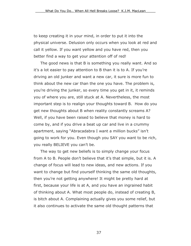to keep creating it in your mind, in order to put it into the physical universe. Delusion only occurs when you look at red and call it yellow. If you want yellow and you have red, then you better find a way to get your attention off of red!

The good news is that B is something you really want. And so it's a lot easier to pay attention to B than it is to A. If you're driving an old junker and want a new car, it sure is more fun to think about the new car than the one you have. The problem is, you're driving the junker, so every time you get in it, it reminds you of where you are, still stuck at A. Nevertheless, the most important step is to realign your thoughts toward B. How do you get new thoughts about B when reality constantly screams A? Well, if you have been raised to believe that money is hard to come by, and if you drive a beat up car and live in a crummy apartment, saying "Abracadabra I want a million bucks" isn't going to work for you. Even though you SAY you want to be rich, you really BELIEVE you can't be.

The way to get new beliefs is to simply change your focus from A to B. People don't believe that it's that simple, but it is. A change of focus will lead to new ideas, and new actions. If you want to change but find yourself thinking the same old thoughts, then you're not getting anywhere! It might be pretty hard at first, because your life is at A, and you have an ingrained habit of thinking about A. What most people do, instead of creating B, is bitch about A. Complaining actually gives you some relief, but it also continues to activate the same old thought patterns that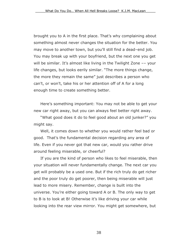brought you to A in the first place. That's why complaining about something almost never changes the situation for the better. You may move to another town, but you'll still find a dead–end job. You may break up with your boyfriend, but the next one you get will be similar. It's almost like living in the Twilight Zone -- your life changes, but looks eerily similar. "The more things change, the more they remain the same" just describes a person who can't, or won't, take his or her attention off of A for a long enough time to create something better.

Here's something important: You may not be able to get your new car right away, but you can always feel better right away.

"What good does it do to feel good about an old junker?" you might say.

Well, it comes down to whether you would rather feel bad or good. That's the fundamental decision regarding any area of life. Even if you never got that new car, would you rather drive around feeling miserable, or cheerful?

If you are the kind of person who likes to feel miserable, then your situation will never fundamentally change. The next car you get will probably be a used one. But if the rich truly do get richer and the poor truly do get poorer, then being miserable will just lead to more misery. Remember, change is built into the universe. You're either going toward A or B. The only way to get to B is to look at B! Otherwise it's like driving your car while looking into the rear view mirror. You might get somewhere, but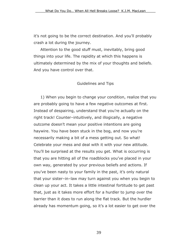<span id="page-42-0"></span>it's not going to be the correct destination. And you'll probably crash a lot during the journey.

Attention to the good stuff must, inevitably, bring good things into your life. The rapidity at which this happens is ultimately determined by the mix of your thoughts and beliefs. And you have control over that.

#### Guidelines and Tips

1) When you begin to change your condition, realize that you are probably going to have a few negative outcomes at first. Instead of despairing, understand that you're actually on the right track! Counter–intuitively, and illogically, a negative outcome doesn't mean your positive intentions are going haywire. You have been stuck in the bog, and now you're necessarily making a bit of a mess getting out. So what! Celebrate your mess and deal with it with your new attitude. You'll be surprised at the results you get. What is occurring is that you are hitting all of the roadblocks you've placed in your own way, generated by your previous beliefs and actions. If you've been nasty to your family in the past, it's only natural that your sister–in–law may turn against you when you begin to clean up your act. It takes a little intestinal fortitude to get past that, just as it takes more effort for a hurdler to jump over the barrier than it does to run along the flat track. But the hurdler already has momentum going, so it's a lot easier to get over the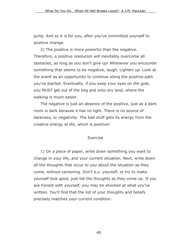<span id="page-43-0"></span>jump. And so it is for you, after you've committed yourself to positive change.

2) The positive is more powerful than the negative. Therefore, a positive resolution will inevitably overcome all obstacles, as long as you don't give up! Whenever you encounter something that seems to be negative, laugh. Lighten up. Look at the event as an opportunity to continue along the positive path you've started. Eventually, if you keep your eyes on the goal, you MUST get out of the bog and onto dry land, where the walking is much easier.

The negative is just an absence of the positive, just as a dark room is dark because it has no light. There is no source of darkness, or negativity. The bad stuff gets its energy from the creative energy of life, which is positive!

#### Exercise

1) On a piece of paper, write down something you want to change in your life, and your current situation. Next, write down all the thoughts that occur to you about the situation as they come, without censoring. Don't b.s. yourself, or try to make yourself look good, just list the thoughts as they come up. If you are honest with yourself, you may be shocked at what you've written. You'll find that the list of your thoughts and beliefs precisely matches your current condition.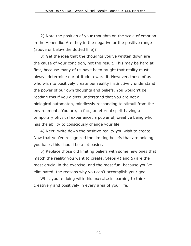2) Note the position of your thoughts on the scale of emotion in the Appendix. Are they in the negative or the positive range (above or below the dotted line)?

3) Get the idea that the thoughts you've written down are the cause of your condition, not the result. This may be hard at first, because many of us have been taught that reality must always determine our attitude toward it. However, those of us who wish to positively create our reality instinctively understand the power of our own thoughts and beliefs. You wouldn't be reading this if you didn't! Understand that you are not a biological automaton, mindlessly responding to stimuli from the environment. You are, in fact, an eternal spirit having a temporary physical experience; a powerful, creative being who has the ability to consciously change your life.

4) Next, write down the positive reality you wish to create. Now that you've recognized the limiting beliefs that are holding you back, this should be a lot easier.

5) Replace those old limiting beliefs with some new ones that match the reality you want to create. Steps 4) and 5) are the most crucial in the exercise, and the most fun, because you've eliminated the reasons why you can't accomplish your goal.

What you're doing with this exercise is learning to think creatively and positively in every area of your life.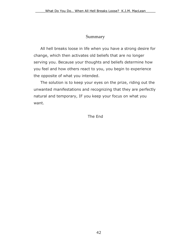# Summary

<span id="page-45-0"></span>All hell breaks loose in life when you have a strong desire for change, which then activates old beliefs that are no longer serving you. Because your thoughts and beliefs determine how you feel and how others react to you, you begin to experience the opposite of what you intended.

The solution is to keep your eyes on the prize, riding out the unwanted manifestations and recognizing that they are perfectly natural and temporary, IF you keep your focus on what you want.

The End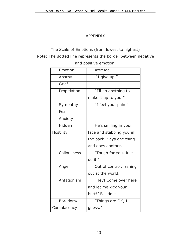# APPENDIX

<span id="page-46-0"></span>The Scale of Emotions (from lowest to highest) Note: The dotted line represents the border between negative and positive emotion.

| Emotion      | Attitude                 |
|--------------|--------------------------|
| Apathy       | "I give up."             |
| Grief        |                          |
| Propitiation | "I'll do anything to     |
|              | make it up to you!"      |
| Sympathy     | "I feel your pain."      |
| Fear         |                          |
| Anxiety      |                          |
| Hidden       | He's smiling in your     |
| Hostility    | face and stabbing you in |
|              | the back. Says one thing |
|              | and does another.        |
| Callousness  | "Tough for you. Just     |
|              | do it."                  |
| Anger        | Out of control, lashing  |
|              | out at the world.        |
| Antagonism   | "Hey! Come over here     |
|              | and let me kick your     |
|              | butt!" Feistiness.       |
| Boredom/     | "Things are OK, I        |
| Complacency  | quess."                  |